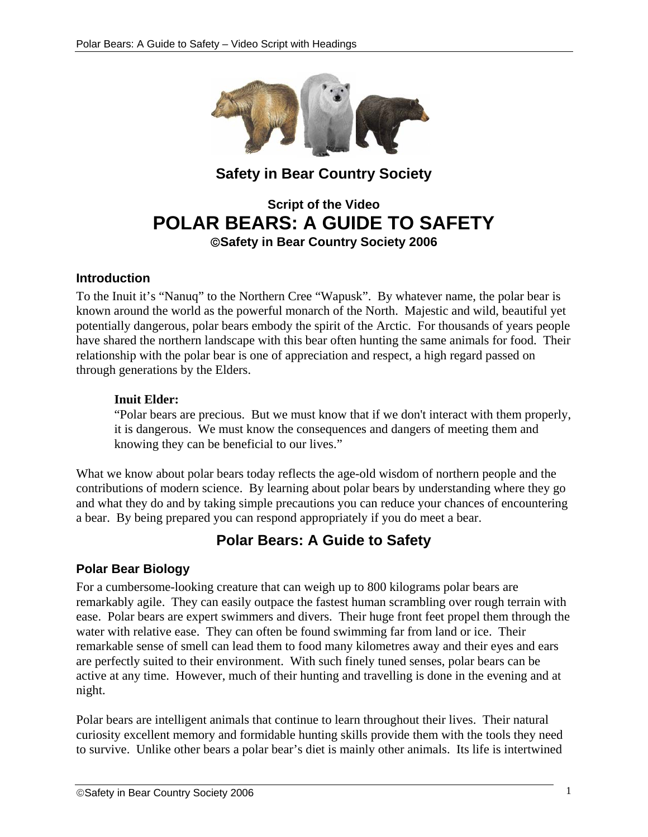

## **Safety in Bear Country Society**

# **Script of the Video POLAR BEARS: A GUIDE TO SAFETY**  ©**Safety in Bear Country Society 2006**

#### **Introduction**

To the Inuit it's "Nanuq" to the Northern Cree "Wapusk". By whatever name, the polar bear is known around the world as the powerful monarch of the North. Majestic and wild, beautiful yet potentially dangerous, polar bears embody the spirit of the Arctic. For thousands of years people have shared the northern landscape with this bear often hunting the same animals for food. Their relationship with the polar bear is one of appreciation and respect, a high regard passed on through generations by the Elders.

#### **Inuit Elder:**

"Polar bears are precious. But we must know that if we don't interact with them properly, it is dangerous. We must know the consequences and dangers of meeting them and knowing they can be beneficial to our lives."

What we know about polar bears today reflects the age-old wisdom of northern people and the contributions of modern science. By learning about polar bears by understanding where they go and what they do and by taking simple precautions you can reduce your chances of encountering a bear. By being prepared you can respond appropriately if you do meet a bear.

## **Polar Bears: A Guide to Safety**

#### **Polar Bear Biology**

For a cumbersome-looking creature that can weigh up to 800 kilograms polar bears are remarkably agile. They can easily outpace the fastest human scrambling over rough terrain with ease. Polar bears are expert swimmers and divers. Their huge front feet propel them through the water with relative ease. They can often be found swimming far from land or ice. Their remarkable sense of smell can lead them to food many kilometres away and their eyes and ears are perfectly suited to their environment. With such finely tuned senses, polar bears can be active at any time. However, much of their hunting and travelling is done in the evening and at night.

Polar bears are intelligent animals that continue to learn throughout their lives. Their natural curiosity excellent memory and formidable hunting skills provide them with the tools they need to survive. Unlike other bears a polar bear's diet is mainly other animals. Its life is intertwined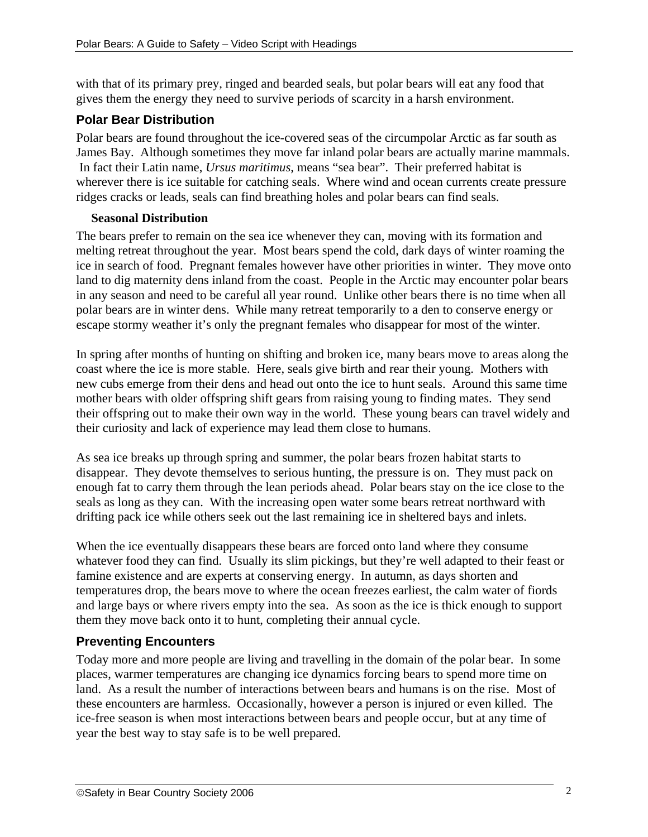with that of its primary prey, ringed and bearded seals, but polar bears will eat any food that gives them the energy they need to survive periods of scarcity in a harsh environment.

## **Polar Bear Distribution**

Polar bears are found throughout the ice-covered seas of the circumpolar Arctic as far south as James Bay. Although sometimes they move far inland polar bears are actually marine mammals. In fact their Latin name, *Ursus maritimus*, means "sea bear". Their preferred habitat is wherever there is ice suitable for catching seals. Where wind and ocean currents create pressure ridges cracks or leads, seals can find breathing holes and polar bears can find seals.

#### **Seasonal Distribution**

The bears prefer to remain on the sea ice whenever they can, moving with its formation and melting retreat throughout the year. Most bears spend the cold, dark days of winter roaming the ice in search of food. Pregnant females however have other priorities in winter. They move onto land to dig maternity dens inland from the coast. People in the Arctic may encounter polar bears in any season and need to be careful all year round. Unlike other bears there is no time when all polar bears are in winter dens. While many retreat temporarily to a den to conserve energy or escape stormy weather it's only the pregnant females who disappear for most of the winter.

In spring after months of hunting on shifting and broken ice, many bears move to areas along the coast where the ice is more stable. Here, seals give birth and rear their young. Mothers with new cubs emerge from their dens and head out onto the ice to hunt seals. Around this same time mother bears with older offspring shift gears from raising young to finding mates. They send their offspring out to make their own way in the world. These young bears can travel widely and their curiosity and lack of experience may lead them close to humans.

As sea ice breaks up through spring and summer, the polar bears frozen habitat starts to disappear. They devote themselves to serious hunting, the pressure is on. They must pack on enough fat to carry them through the lean periods ahead. Polar bears stay on the ice close to the seals as long as they can. With the increasing open water some bears retreat northward with drifting pack ice while others seek out the last remaining ice in sheltered bays and inlets.

When the ice eventually disappears these bears are forced onto land where they consume whatever food they can find. Usually its slim pickings, but they're well adapted to their feast or famine existence and are experts at conserving energy. In autumn, as days shorten and temperatures drop, the bears move to where the ocean freezes earliest, the calm water of fiords and large bays or where rivers empty into the sea. As soon as the ice is thick enough to support them they move back onto it to hunt, completing their annual cycle.

## **Preventing Encounters**

Today more and more people are living and travelling in the domain of the polar bear. In some places, warmer temperatures are changing ice dynamics forcing bears to spend more time on land. As a result the number of interactions between bears and humans is on the rise. Most of these encounters are harmless. Occasionally, however a person is injured or even killed. The ice-free season is when most interactions between bears and people occur, but at any time of year the best way to stay safe is to be well prepared.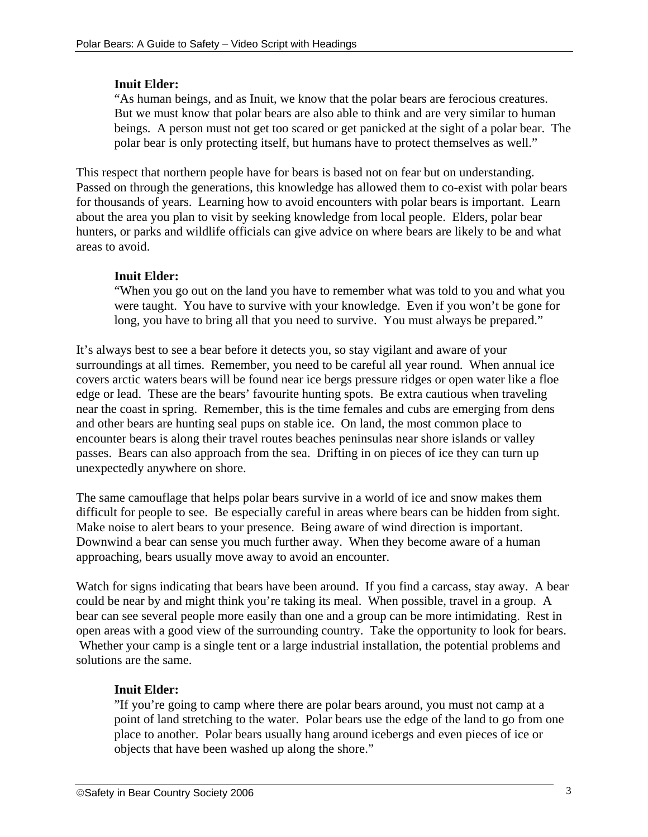#### **Inuit Elder:**

"As human beings, and as Inuit, we know that the polar bears are ferocious creatures. But we must know that polar bears are also able to think and are very similar to human beings. A person must not get too scared or get panicked at the sight of a polar bear. The polar bear is only protecting itself, but humans have to protect themselves as well."

This respect that northern people have for bears is based not on fear but on understanding. Passed on through the generations, this knowledge has allowed them to co-exist with polar bears for thousands of years. Learning how to avoid encounters with polar bears is important. Learn about the area you plan to visit by seeking knowledge from local people. Elders, polar bear hunters, or parks and wildlife officials can give advice on where bears are likely to be and what areas to avoid.

#### **Inuit Elder:**

"When you go out on the land you have to remember what was told to you and what you were taught. You have to survive with your knowledge. Even if you won't be gone for long, you have to bring all that you need to survive. You must always be prepared."

It's always best to see a bear before it detects you, so stay vigilant and aware of your surroundings at all times. Remember, you need to be careful all year round. When annual ice covers arctic waters bears will be found near ice bergs pressure ridges or open water like a floe edge or lead. These are the bears' favourite hunting spots. Be extra cautious when traveling near the coast in spring. Remember, this is the time females and cubs are emerging from dens and other bears are hunting seal pups on stable ice. On land, the most common place to encounter bears is along their travel routes beaches peninsulas near shore islands or valley passes. Bears can also approach from the sea. Drifting in on pieces of ice they can turn up unexpectedly anywhere on shore.

The same camouflage that helps polar bears survive in a world of ice and snow makes them difficult for people to see. Be especially careful in areas where bears can be hidden from sight. Make noise to alert bears to your presence. Being aware of wind direction is important. Downwind a bear can sense you much further away. When they become aware of a human approaching, bears usually move away to avoid an encounter.

Watch for signs indicating that bears have been around. If you find a carcass, stay away. A bear could be near by and might think you're taking its meal. When possible, travel in a group. A bear can see several people more easily than one and a group can be more intimidating. Rest in open areas with a good view of the surrounding country. Take the opportunity to look for bears. Whether your camp is a single tent or a large industrial installation, the potential problems and solutions are the same.

## **Inuit Elder:**

"If you're going to camp where there are polar bears around, you must not camp at a point of land stretching to the water. Polar bears use the edge of the land to go from one place to another. Polar bears usually hang around icebergs and even pieces of ice or objects that have been washed up along the shore."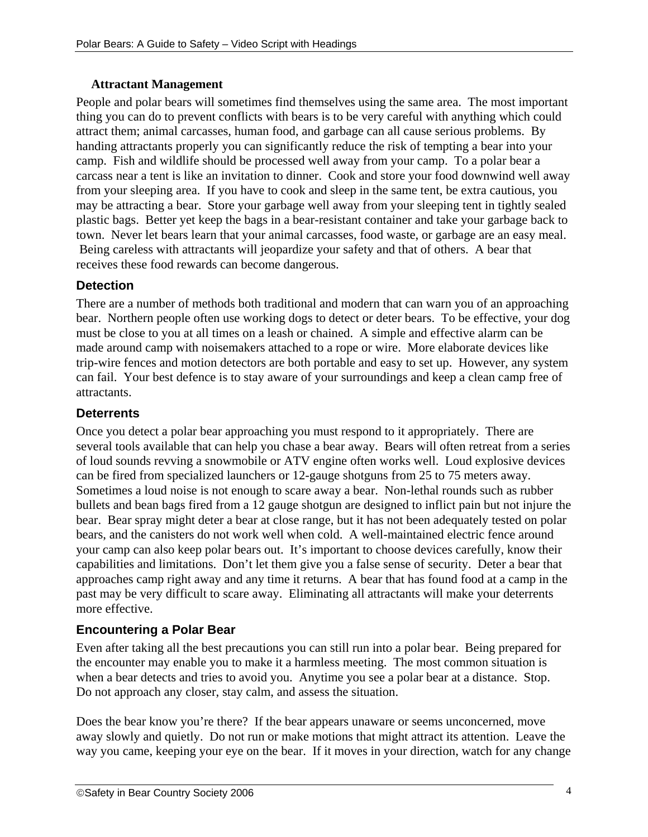#### **Attractant Management**

People and polar bears will sometimes find themselves using the same area. The most important thing you can do to prevent conflicts with bears is to be very careful with anything which could attract them; animal carcasses, human food, and garbage can all cause serious problems. By handing attractants properly you can significantly reduce the risk of tempting a bear into your camp. Fish and wildlife should be processed well away from your camp. To a polar bear a carcass near a tent is like an invitation to dinner. Cook and store your food downwind well away from your sleeping area. If you have to cook and sleep in the same tent, be extra cautious, you may be attracting a bear. Store your garbage well away from your sleeping tent in tightly sealed plastic bags. Better yet keep the bags in a bear-resistant container and take your garbage back to town. Never let bears learn that your animal carcasses, food waste, or garbage are an easy meal. Being careless with attractants will jeopardize your safety and that of others. A bear that receives these food rewards can become dangerous.

## **Detection**

There are a number of methods both traditional and modern that can warn you of an approaching bear. Northern people often use working dogs to detect or deter bears. To be effective, your dog must be close to you at all times on a leash or chained. A simple and effective alarm can be made around camp with noisemakers attached to a rope or wire. More elaborate devices like trip-wire fences and motion detectors are both portable and easy to set up. However, any system can fail. Your best defence is to stay aware of your surroundings and keep a clean camp free of attractants.

## **Deterrents**

Once you detect a polar bear approaching you must respond to it appropriately. There are several tools available that can help you chase a bear away. Bears will often retreat from a series of loud sounds revving a snowmobile or ATV engine often works well. Loud explosive devices can be fired from specialized launchers or 12-gauge shotguns from 25 to 75 meters away. Sometimes a loud noise is not enough to scare away a bear. Non-lethal rounds such as rubber bullets and bean bags fired from a 12 gauge shotgun are designed to inflict pain but not injure the bear. Bear spray might deter a bear at close range, but it has not been adequately tested on polar bears, and the canisters do not work well when cold. A well-maintained electric fence around your camp can also keep polar bears out. It's important to choose devices carefully, know their capabilities and limitations. Don't let them give you a false sense of security. Deter a bear that approaches camp right away and any time it returns. A bear that has found food at a camp in the past may be very difficult to scare away. Eliminating all attractants will make your deterrents more effective.

## **Encountering a Polar Bear**

Even after taking all the best precautions you can still run into a polar bear. Being prepared for the encounter may enable you to make it a harmless meeting. The most common situation is when a bear detects and tries to avoid you. Anytime you see a polar bear at a distance. Stop. Do not approach any closer, stay calm, and assess the situation.

Does the bear know you're there? If the bear appears unaware or seems unconcerned, move away slowly and quietly. Do not run or make motions that might attract its attention. Leave the way you came, keeping your eye on the bear. If it moves in your direction, watch for any change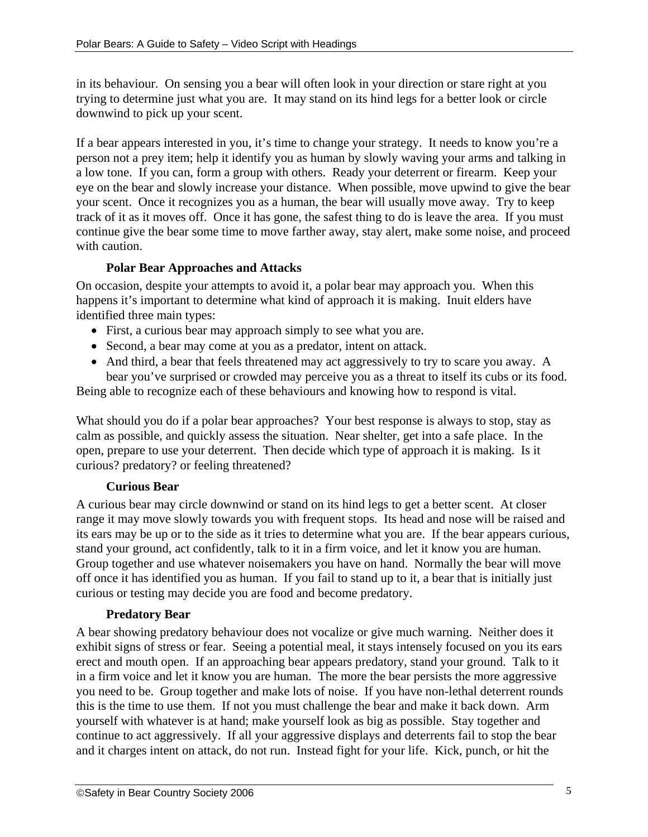in its behaviour. On sensing you a bear will often look in your direction or stare right at you trying to determine just what you are. It may stand on its hind legs for a better look or circle downwind to pick up your scent.

If a bear appears interested in you, it's time to change your strategy. It needs to know you're a person not a prey item; help it identify you as human by slowly waving your arms and talking in a low tone. If you can, form a group with others. Ready your deterrent or firearm. Keep your eye on the bear and slowly increase your distance. When possible, move upwind to give the bear your scent. Once it recognizes you as a human, the bear will usually move away. Try to keep track of it as it moves off. Once it has gone, the safest thing to do is leave the area. If you must continue give the bear some time to move farther away, stay alert, make some noise, and proceed with caution.

#### **Polar Bear Approaches and Attacks**

On occasion, despite your attempts to avoid it, a polar bear may approach you. When this happens it's important to determine what kind of approach it is making. Inuit elders have identified three main types:

- First, a curious bear may approach simply to see what you are.
- Second, a bear may come at you as a predator, intent on attack.
- And third, a bear that feels threatened may act aggressively to try to scare you away. A bear you've surprised or crowded may perceive you as a threat to itself its cubs or its food.

Being able to recognize each of these behaviours and knowing how to respond is vital.

What should you do if a polar bear approaches? Your best response is always to stop, stay as calm as possible, and quickly assess the situation. Near shelter, get into a safe place. In the open, prepare to use your deterrent. Then decide which type of approach it is making. Is it curious? predatory? or feeling threatened?

#### **Curious Bear**

A curious bear may circle downwind or stand on its hind legs to get a better scent. At closer range it may move slowly towards you with frequent stops. Its head and nose will be raised and its ears may be up or to the side as it tries to determine what you are. If the bear appears curious, stand your ground, act confidently, talk to it in a firm voice, and let it know you are human. Group together and use whatever noisemakers you have on hand. Normally the bear will move off once it has identified you as human. If you fail to stand up to it, a bear that is initially just curious or testing may decide you are food and become predatory.

#### **Predatory Bear**

A bear showing predatory behaviour does not vocalize or give much warning. Neither does it exhibit signs of stress or fear. Seeing a potential meal, it stays intensely focused on you its ears erect and mouth open. If an approaching bear appears predatory, stand your ground. Talk to it in a firm voice and let it know you are human. The more the bear persists the more aggressive you need to be. Group together and make lots of noise. If you have non-lethal deterrent rounds this is the time to use them. If not you must challenge the bear and make it back down. Arm yourself with whatever is at hand; make yourself look as big as possible. Stay together and continue to act aggressively. If all your aggressive displays and deterrents fail to stop the bear and it charges intent on attack, do not run. Instead fight for your life. Kick, punch, or hit the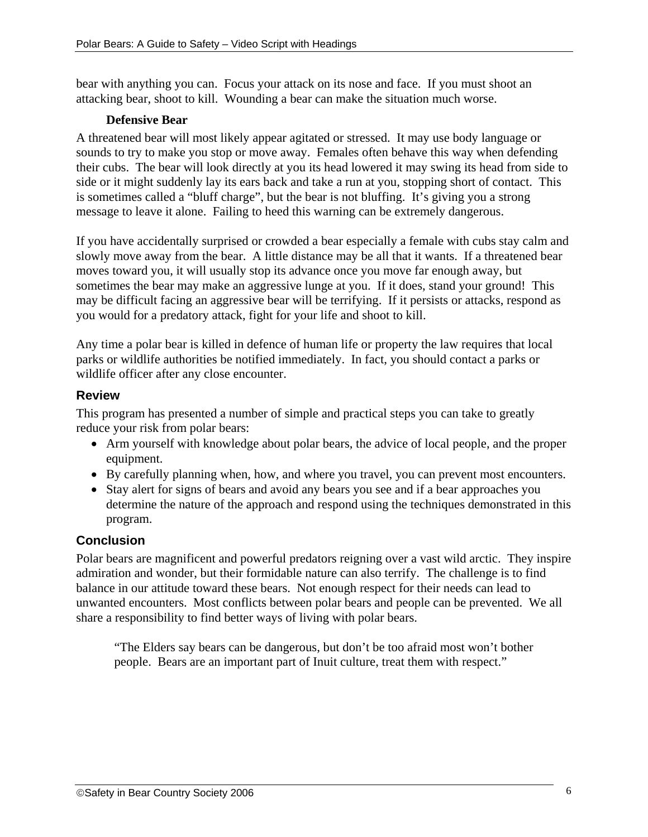bear with anything you can. Focus your attack on its nose and face. If you must shoot an attacking bear, shoot to kill. Wounding a bear can make the situation much worse.

#### **Defensive Bear**

A threatened bear will most likely appear agitated or stressed. It may use body language or sounds to try to make you stop or move away. Females often behave this way when defending their cubs. The bear will look directly at you its head lowered it may swing its head from side to side or it might suddenly lay its ears back and take a run at you, stopping short of contact. This is sometimes called a "bluff charge", but the bear is not bluffing. It's giving you a strong message to leave it alone. Failing to heed this warning can be extremely dangerous.

If you have accidentally surprised or crowded a bear especially a female with cubs stay calm and slowly move away from the bear. A little distance may be all that it wants. If a threatened bear moves toward you, it will usually stop its advance once you move far enough away, but sometimes the bear may make an aggressive lunge at you. If it does, stand your ground! This may be difficult facing an aggressive bear will be terrifying. If it persists or attacks, respond as you would for a predatory attack, fight for your life and shoot to kill.

Any time a polar bear is killed in defence of human life or property the law requires that local parks or wildlife authorities be notified immediately. In fact, you should contact a parks or wildlife officer after any close encounter.

## **Review**

This program has presented a number of simple and practical steps you can take to greatly reduce your risk from polar bears:

- Arm yourself with knowledge about polar bears, the advice of local people, and the proper equipment.
- By carefully planning when, how, and where you travel, you can prevent most encounters.
- Stay alert for signs of bears and avoid any bears you see and if a bear approaches you determine the nature of the approach and respond using the techniques demonstrated in this program.

## **Conclusion**

Polar bears are magnificent and powerful predators reigning over a vast wild arctic. They inspire admiration and wonder, but their formidable nature can also terrify. The challenge is to find balance in our attitude toward these bears. Not enough respect for their needs can lead to unwanted encounters. Most conflicts between polar bears and people can be prevented. We all share a responsibility to find better ways of living with polar bears.

"The Elders say bears can be dangerous, but don't be too afraid most won't bother people. Bears are an important part of Inuit culture, treat them with respect."